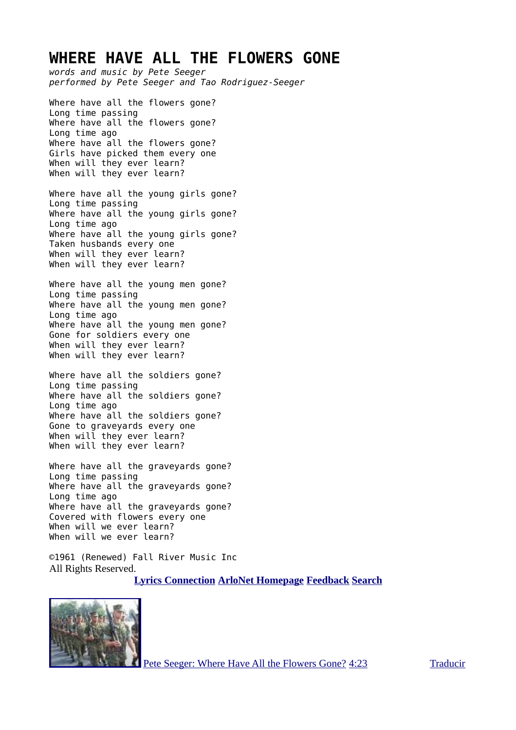#### **WHERE HAVE ALL THE FLOWERS GONE**

*words and music by Pete Seeger performed by Pete Seeger and Tao Rodriguez-Seeger* Where have all the flowers gone? Long time passing Where have all the flowers gone? Long time ago Where have all the flowers gone? Girls have picked them every one When will they ever learn? When will they ever learn? Where have all the young girls gone? Long time passing Where have all the young girls gone? Long time ago Where have all the young girls gone? Taken husbands every one When will they ever learn? When will they ever learn? Where have all the young men gone? Long time passing Where have all the young men gone? Long time ago Where have all the young men gone? Gone for soldiers every one When will they ever learn? When will they ever learn? Where have all the soldiers gone? Long time passing Where have all the soldiers gone? Long time ago Where have all the soldiers gone? Gone to graveyards every one

When will they ever learn? When will they ever learn?

Where have all the graveyards gone? Long time passing Where have all the graveyards gone? Long time ago Where have all the graveyards gone? Covered with flowers every one When will we ever learn? When will we ever learn?

©1961 (Renewed) Fall River Music Inc All Rights Reserved.

**[Lyrics Connection](http://www.arlo.net/lyrics/) [ArloNet Homepage](http://www.arlo.net/) [Feedback](http://www.arlo.net/feedback.shtml) [Search](http://www.arlo.net/search/)**



[Pete Seeger: Where Have All the Flowers Gone?](http://www.youtube.com/watch?v=1y2SIIeqy34) [4:23](http://www.youtube.com/watch?v=1y2SIIeqy34) [Traducir](http://www.youtube.com/results?search_query=Pete+Seeger&oq=Pete+Seeger&gs_l=youtube.12...12874.17042.0.19500.11.11.0.0.0.0.252.1439.1j8j2.11.0...0.0...1ac.NZSecJ5OPiw#)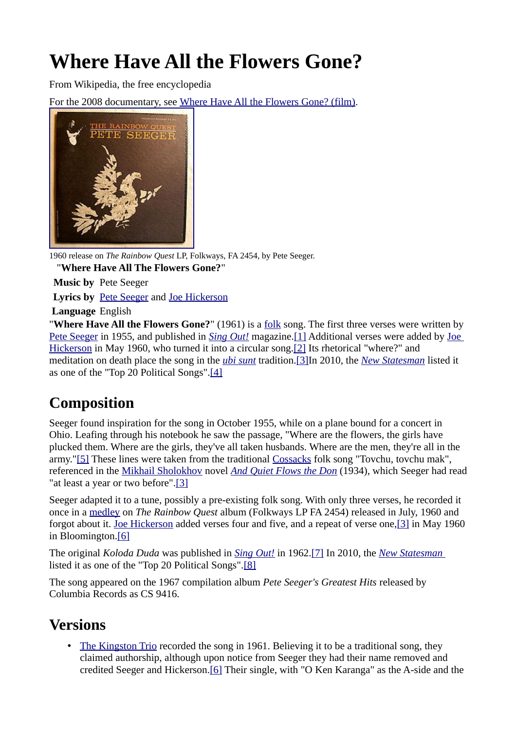# **Where Have All the Flowers Gone?**

From Wikipedia, the free encyclopedia

For the 2008 documentary, see [Where Have All the Flowers Gone? \(film\).](http://en.wikipedia.org/wiki/Where_Have_All_the_Flowers_Gone%3F_(film))



1960 release on *The Rainbow Quest* LP, Folkways, FA 2454, by Pete Seeger.

"**Where Have All The Flowers Gone?**"

**Music by** Pete Seeger

**Lyrics by** [Pete Seeger](http://en.wikipedia.org/wiki/Pete_Seeger) and [Joe Hickerson](http://en.wikipedia.org/wiki/Joe_Hickerson)

**Language** English

"**Where Have All the Flowers Gone?**" (1961) is a [folk](http://en.wikipedia.org/wiki/Folk_music) song. The first three verses were written by [Pete Seeger](http://en.wikipedia.org/wiki/Pete_Seeger) in 1955, and published in *[Sing Out!](http://en.wikipedia.org/wiki/Sing_Out!)* magazine[.\[1\]](http://en.wikipedia.org/wiki/Where_Have_All_the_Flowers_Gone%3F#cite_note-0) Additional verses were added by [Joe](http://en.wikipedia.org/wiki/Joe_Hickerson) [Hickerson](http://en.wikipedia.org/wiki/Joe_Hickerson) in May 1960, who turned it into a circular song.<sup>[2]</sup> Its rhetorical "where?" and meditation on death place the song in the *[ubi sunt](http://en.wikipedia.org/wiki/Ubi_sunt)* tradition[.\[3\]I](http://en.wikipedia.org/wiki/Where_Have_All_the_Flowers_Gone%3F#cite_note-flow-2)n 2010, the *[New Statesman](http://en.wikipedia.org/wiki/New_Statesman)* listed it as one of the "Top 20 Political Songs"[.\[4\]](http://en.wikipedia.org/wiki/Where_Have_All_the_Flowers_Gone%3F#cite_note-3)

## **Composition**

Seeger found inspiration for the song in October 1955, while on a plane bound for a concert in Ohio. Leafing through his notebook he saw the passage, "Where are the flowers, the girls have plucked them. Where are the girls, they've all taken husbands. Where are the men, they're all in the army.["\[5\]](http://en.wikipedia.org/wiki/Where_Have_All_the_Flowers_Gone%3F#cite_note-4) These lines were taken from the traditional [Cossacks](http://en.wikipedia.org/wiki/Cossacks) folk song "Tovchu, tovchu mak", referenced in the [Mikhail Sholokhov](http://en.wikipedia.org/wiki/Michail_Aleksandrovich_Sholokhov) novel *[And Quiet Flows the Don](http://en.wikipedia.org/wiki/And_Quiet_Flows_the_Don)* (1934), which Seeger had read "at least a year or two before"[.\[3\]](http://en.wikipedia.org/wiki/Where_Have_All_the_Flowers_Gone%3F#cite_note-flow-2)

Seeger adapted it to a tune, possibly a pre-existing folk song. With only three verses, he recorded it once in a [medley](http://en.wikipedia.org/wiki/Medley_(music)) on *The Rainbow Quest* album (Folkways LP FA 2454) released in July, 1960 and forgot about it. [Joe Hickerson](http://en.wikipedia.org/wiki/Joe_Hickerson) added verses four and five, and a repeat of verse one[,\[3\]](http://en.wikipedia.org/wiki/Where_Have_All_the_Flowers_Gone%3F#cite_note-flow-2) in May 1960 in Bloomington[.\[6\]](http://en.wikipedia.org/wiki/Where_Have_All_the_Flowers_Gone%3F#cite_note-dunaway-5)

The original *Koloda Duda* was published in *[Sing Out!](http://en.wikipedia.org/wiki/Sing_Out!)* in 1962[.\[7\]](http://en.wikipedia.org/wiki/Where_Have_All_the_Flowers_Gone%3F#cite_note-6) In 2010, the *[New Statesman](http://en.wikipedia.org/wiki/New_Statesman)* listed it as one of the "Top 20 Political Songs"[.\[8\]](http://en.wikipedia.org/wiki/Where_Have_All_the_Flowers_Gone%3F#cite_note-7)

The song appeared on the 1967 compilation album *Pete Seeger's Greatest Hits* released by Columbia Records as CS 9416.

### **Versions**

The Kingston Trio recorded the song in 1961. Believing it to be a traditional song, they claimed authorship, although upon notice from Seeger they had their name removed and credited Seeger and Hickerson[.\[6\]](http://en.wikipedia.org/wiki/Where_Have_All_the_Flowers_Gone%3F#cite_note-dunaway-5) Their single, with "O Ken Karanga" as the A-side and the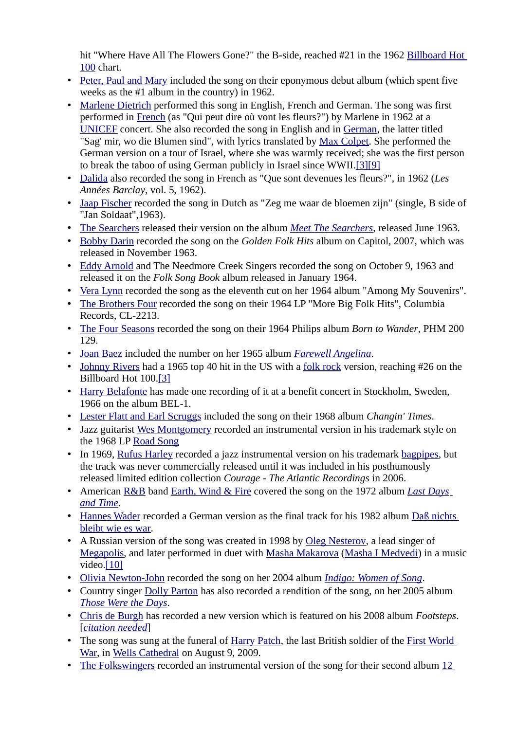hit "Where Have All The Flowers Gone?" the B-side, reached #21 in the 1962 [Billboard Hot](http://en.wikipedia.org/wiki/Billboard_Hot_100) [100](http://en.wikipedia.org/wiki/Billboard_Hot_100) chart.

- • [Peter, Paul and Mary](http://en.wikipedia.org/wiki/Peter,_Paul_and_Mary) included the song on their eponymous debut album (which spent five weeks as the #1 album in the country) in 1962.
- • [Marlene Dietrich](http://en.wikipedia.org/wiki/Marlene_Dietrich) performed this song in English, French and German. The song was first performed in [French](http://en.wikipedia.org/wiki/French_language) (as "Qui peut dire où vont les fleurs?") by Marlene in 1962 at a [UNICEF](http://en.wikipedia.org/wiki/UNICEF) concert. She also recorded the song in English and in [German,](http://en.wikipedia.org/wiki/German_language) the latter titled "Sag' mir, wo die Blumen sind", with lyrics translated by [Max Colpet.](http://en.wikipedia.org/wiki/Max_Colpet) She performed the German version on a tour of Israel, where she was warmly received; she was the first person to break the taboo of using German publicly in Israel since WWII[. \[3\]](http://en.wikipedia.org/wiki/Where_Have_All_the_Flowers_Gone%3F#cite_note-flow-2) [\[9\]](http://en.wikipedia.org/wiki/Where_Have_All_the_Flowers_Gone%3F#cite_note-8)
- • [Dalida](http://en.wikipedia.org/wiki/Dalida) also recorded the song in French as "Que sont devenues les fleurs?", in 1962 (*Les Années Barclay*, vol. 5, 1962).
- • [Jaap Fischer](http://nl.wikipedia.org/wiki/Jaap_Fischer) recorded the song in Dutch as "Zeg me waar de bloemen zijn" (single, B side of "Jan Soldaat",1963).
- • [The Searchers](http://en.wikipedia.org/wiki/The_Searchers_(band)) released their version on the album *[Meet The Searchers](http://en.wikipedia.org/wiki/Meet_The_Searchers)*, released June 1963.
- • [Bobby Darin](http://en.wikipedia.org/wiki/Bobby_Darin) recorded the song on the *Golden Folk Hits* album on Capitol, 2007, which was released in November 1963.
- • [Eddy Arnold](http://en.wikipedia.org/wiki/Eddy_Arnold) and The Needmore Creek Singers recorded the song on October 9, 1963 and released it on the *Folk Song Book* album released in January 1964.
- • [Vera Lynn](http://en.wikipedia.org/wiki/Vera_Lynn) recorded the song as the eleventh cut on her 1964 album "Among My Souvenirs".
- • [The Brothers Four](http://en.wikipedia.org/wiki/The_Brothers_Four) recorded the song on their 1964 LP "More Big Folk Hits", Columbia Records, CL-2213.
- • [The Four Seasons](http://en.wikipedia.org/wiki/The_Four_Seasons_(band)) recorded the song on their 1964 Philips album *Born to Wander*, PHM 200 129.
- • [Joan Baez](http://en.wikipedia.org/wiki/Joan_Baez) included the number on her 1965 album *[Farewell Angelina](http://en.wikipedia.org/wiki/Farewell_Angelina)*.
- • [Johnny Rivers](http://en.wikipedia.org/wiki/Johnny_Rivers) had a 1965 top 40 hit in the US with a [folk rock](http://en.wikipedia.org/wiki/Folk_rock) version, reaching #26 on the Billboard Hot 100[.\[3\]](http://en.wikipedia.org/wiki/Where_Have_All_the_Flowers_Gone%3F#cite_note-flow-2)
- • [Harry Belafonte](http://en.wikipedia.org/wiki/Harry_Belafonte) has made one recording of it at a benefit concert in Stockholm, Sweden, 1966 on the album BEL-1.
- • [Lester Flatt and Earl Scruggs](http://en.wikipedia.org/wiki/Lester_Flatt_and_Earl_Scruggs) included the song on their 1968 album *Changin' Times*.
- Jazz guitarist [Wes Montgomery](http://en.wikipedia.org/wiki/Wes_Montgomery) recorded an instrumental version in his trademark style on the 1968 LP [Road Song](http://en.wikipedia.org/wiki/Wes_Montgomery#A.26M_.28_1967.E2.80.931968_.29)
- In 1969, [Rufus Harley](http://en.wikipedia.org/wiki/Rufus_Harley) recorded a jazz instrumental version on his trademark [bagpipes,](http://en.wikipedia.org/wiki/Bagpipes) but the track was never commercially released until it was included in his posthumously released limited edition collection *Courage - The Atlantic Recordings* in 2006.
- American [R&B](http://en.wikipedia.org/wiki/R%26B) band [Earth, Wind & Fire](http://en.wikipedia.org/wiki/Earth,_Wind_%26_Fire) covered the song on the 1972 album *[Last Days](http://en.wikipedia.org/wiki/Last_Days_and_Time) [and Time](http://en.wikipedia.org/wiki/Last_Days_and_Time)*.
- • [Hannes Wader](http://en.wikipedia.org/wiki/Hannes_Wader) recorded a German version as the final track for his 1982 album [Daß nichts](http://en.wikipedia.org/w/index.php?title=Da%C3%9F_nichts_bleibt_wie_es_war&action=edit&redlink=1) [bleibt wie es war.](http://en.wikipedia.org/w/index.php?title=Da%C3%9F_nichts_bleibt_wie_es_war&action=edit&redlink=1)
- A Russian version of the song was created in 1998 by [Oleg Nesterov,](http://en.wikipedia.org/w/index.php?title=Oleg_Nesterov&action=edit&redlink=1) a lead singer of [Megapolis,](http://en.wikipedia.org/w/index.php?title=Megapolis_(rock_group)&action=edit&redlink=1) and later performed in duet with [Masha Makarova](http://en.wikipedia.org/w/index.php?title=Masha_Makarova&action=edit&redlink=1) [\(Masha I Medvedi\)](http://en.wikipedia.org/w/index.php?title=Masha_I_Medvedi_(rock_group)&action=edit&redlink=1) in a music video.<sup>[10]</sup>
- • [Olivia Newton-John](http://en.wikipedia.org/wiki/Olivia_Newton-John) recorded the song on her 2004 album *[Indigo: Women of Song](http://en.wikipedia.org/wiki/Indigo:_Women_of_Song)*.
- Country singer [Dolly Parton](http://en.wikipedia.org/wiki/Dolly_Parton) has also recorded a rendition of the song, on her 2005 album *[Those Were the Days](http://en.wikipedia.org/wiki/Those_Were_the_Days_(Dolly_Parton_album))*.
- • [Chris de Burgh](http://en.wikipedia.org/wiki/Chris_de_Burgh) has recorded a new version which is featured on his 2008 album *Footsteps*. [*[citation needed](http://en.wikipedia.org/wiki/Wikipedia:Citation_needed)*]
- The song was sung at the funeral of [Harry Patch,](http://en.wikipedia.org/wiki/Harry_Patch) the last British soldier of the [First World](http://en.wikipedia.org/wiki/World_War_I) [War,](http://en.wikipedia.org/wiki/World_War_I) in [Wells Cathedral](http://en.wikipedia.org/wiki/Wells_Cathedral) on August 9, 2009.
- • [The Folkswingers](http://en.wikipedia.org/wiki/12_String_Guitar!_Vol._2) recorded an instrumental version of the song for their second album [12](http://en.wikipedia.org/wiki/12_String_Guitar!_Vol._2)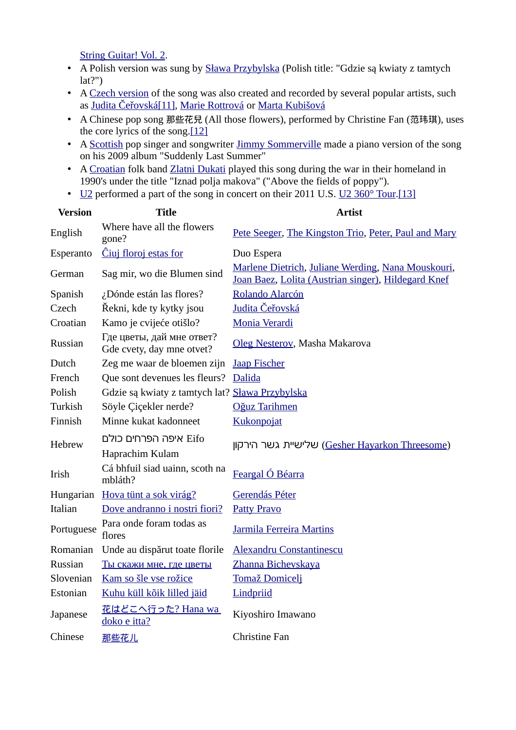[String Guitar! Vol. 2.](http://en.wikipedia.org/wiki/12_String_Guitar!_Vol._2)

- A Polish version was sung by **Sława Przybylska** (Polish title: "Gdzie są kwiaty z tamtych  $lat?$ ")
- A [Czech version](http://www.youtube.com/watch?v=C_lZGRPYko0&feature=related) of the song was also created and recorded by several popular artists, such as [Judita Čeřovská](http://cz.wikipedia.org/wiki/Judita_%C4%8Ce%C5%99ovsk%C3%A1)<br />[11]</a>, [Marie Rottrová](http://cz.wikipedia.org/wiki/Marie_Rottrov%C3%A1) or [Marta Kubišová](http://cz.wikipedia.org/wiki/Marta_Kubi%C5%A1ov%C3%A1)
- A Chinese pop song 那些花兒 (All those flowers), performed by Christine Fan (范玮琪), uses the core lyrics of the song[.\[12\]](http://en.wikipedia.org/wiki/Where_Have_All_the_Flowers_Gone%3F#cite_note-11)
- A [Scottish](http://en.wikipedia.org/wiki/Scottish_people) pop singer and songwriter [Jimmy Sommerville](http://en.wikipedia.org/wiki/Jimmy_Sommerville) made a piano version of the song on his 2009 album "Suddenly Last Summer"
- A [Croatian](http://en.wikipedia.org/wiki/Croatian_people) folk band [Zlatni Dukati](http://en.wikipedia.org/wiki/Zlatni_Dukati) played this song during the war in their homeland in 1990's under the title "Iznad polja makova" ("Above the fields of poppy").
- • [U2](http://en.wikipedia.org/wiki/U2) performed a part of the song in concert on their 2011 U.S. [U2 360° Tour.](http://en.wikipedia.org/wiki/U2_360%C2%B0_Tour)[\[13\]](http://en.wikipedia.org/wiki/Where_Have_All_the_Flowers_Gone%3F#cite_note-12)

|                                                        | <b>Artist</b>                                                                                             |
|--------------------------------------------------------|-----------------------------------------------------------------------------------------------------------|
| Where have all the flowers<br>gone?                    | Pete Seeger, The Kingston Trio, Peter, Paul and Mary                                                      |
| Ciuj floroj estas for                                  | Duo Espera                                                                                                |
| Sag mir, wo die Blumen sind                            | Marlene Dietrich, Juliane Werding, Nana Mouskouri,<br>Joan Baez, Lolita (Austrian singer), Hildegard Knef |
| ¿Dónde están las flores?                               | Rolando Alarcón                                                                                           |
| Řekni, kde ty kytky jsou                               | <u>Judita Čeřovská</u>                                                                                    |
| Kamo je cvijeće otišlo?                                | Monia Verardi                                                                                             |
| Где цветы, дай мне ответ?<br>Gde cvety, day mne otvet? | Oleg Nesterov, Masha Makarova                                                                             |
| Zeg me waar de bloemen zijn                            | <b>Jaap Fischer</b>                                                                                       |
| Que sont devenues les fleurs?                          | Dalida                                                                                                    |
| Gdzie są kwiaty z tamtych lat? Sława Przybylska        |                                                                                                           |
| Söyle Çiçekler nerde?                                  | Oğuz Tarihmen                                                                                             |
| Minne kukat kadonneet                                  | Kukonpojat                                                                                                |
| Eifo איפה הפרחים כולם<br>Haprachim Kulam               | שלישיית גשר הירקון (Gesher Hayarkon Threesome)                                                            |
| Cá bhfuil siad uainn, scoth na<br>mbláth?              | Feargal Ó Béarra                                                                                          |
| Hova tünt a sok virág?                                 | Gerendás Péter                                                                                            |
| Dove andranno i nostri fiori?                          | <b>Patty Pravo</b>                                                                                        |
| Para onde foram todas as<br>flores                     | Jarmila Ferreira Martins                                                                                  |
| Unde au dispărut toate florile                         | <b>Alexandru Constantinescu</b>                                                                           |
| Ты скажи мне, где цветы                                | Zhanna Bichevskaya                                                                                        |
| Kam so šle vse rožice                                  | <b>Tomaž Domiceli</b>                                                                                     |
| Kuhu küll kõik lilled jäid                             | Lindpriid                                                                                                 |
| 花はどこへ行った? Hana wa<br>doko e itta?                      | Kiyoshiro Imawano                                                                                         |
| 那些花儿                                                   | <b>Christine Fan</b>                                                                                      |
|                                                        | <b>Title</b>                                                                                              |